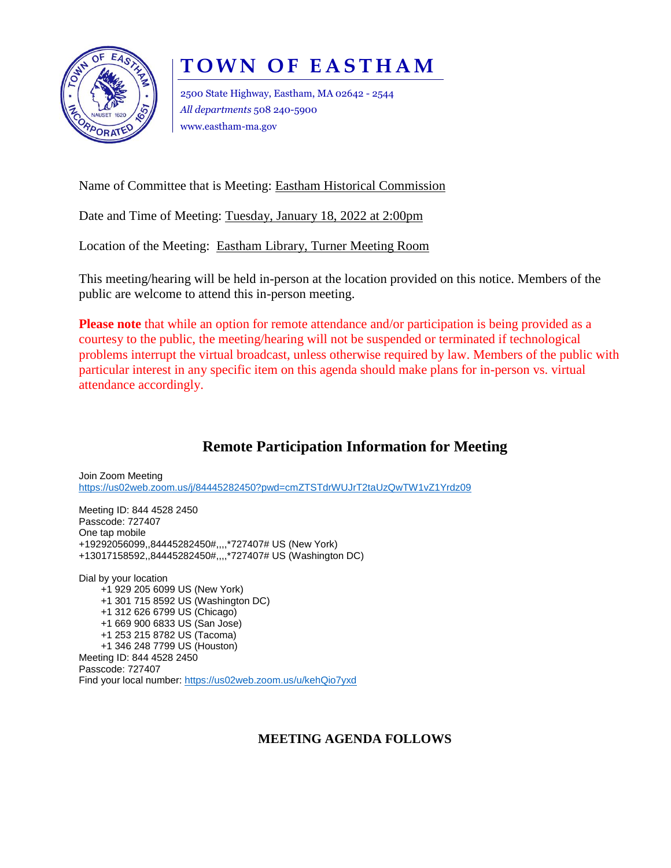

## **T O W N O F E A S T H A M**

2500 State Highway, Eastham, MA 02642 - 2544 *All departments* 508 240-5900 www.eastham-ma.gov

Name of Committee that is Meeting: Eastham Historical Commission

Date and Time of Meeting: Tuesday, January 18, 2022 at 2:00pm

Location of the Meeting: Eastham Library, Turner Meeting Room

This meeting/hearing will be held in-person at the location provided on this notice. Members of the public are welcome to attend this in-person meeting.

**Please note** that while an option for remote attendance and/or participation is being provided as a courtesy to the public, the meeting/hearing will not be suspended or terminated if technological problems interrupt the virtual broadcast, unless otherwise required by law. Members of the public with particular interest in any specific item on this agenda should make plans for in-person vs. virtual attendance accordingly.

## **Remote Participation Information for Meeting**

Join Zoom Meeting <https://us02web.zoom.us/j/84445282450?pwd=cmZTSTdrWUJrT2taUzQwTW1vZ1Yrdz09>

Meeting ID: 844 4528 2450 Passcode: 727407 One tap mobile +19292056099,,84445282450#,,,,\*727407# US (New York) +13017158592,,84445282450#,,,,\*727407# US (Washington DC)

Dial by your location +1 929 205 6099 US (New York) +1 301 715 8592 US (Washington DC) +1 312 626 6799 US (Chicago) +1 669 900 6833 US (San Jose) +1 253 215 8782 US (Tacoma) +1 346 248 7799 US (Houston) Meeting ID: 844 4528 2450 Passcode: 727407 Find your local number: <https://us02web.zoom.us/u/kehQio7yxd>

## **MEETING AGENDA FOLLOWS**